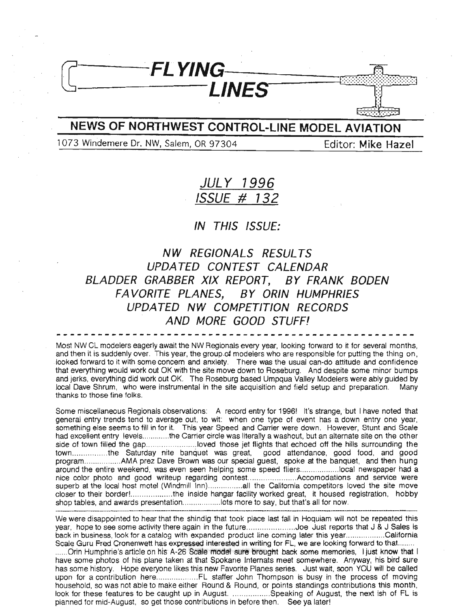## **NEWS OF NORTHWEST CONTROL-LINE MODEL AVIATION**

LINES

 $F$ LYING $-$ 

1073 Windemere Dr. NW, Salem, OR 97304 Editor: **Mike Hazel**

## **JULY 1996 ISSUE # 732**

#### **IN THIS ISSUE:**

**NW REGIONALS RESULTS UPDA TED CONTEST CALENDAR BLADDER GRABBER XIX REPORT, BY FRANK BODEN FA VORITE PLANES, BY ORIN HUMPHRIES UPDATED NW COMPETITION RECORDS AND MORE GOOD STUFF!**

Most NW CL modelers eagerly await the NW Regionals every year, looking forward to it for several months, and then it is suddenly over. This year, the group of modelers who are responsible for putting the thing on, looked forward to it with some concem and anxiety. There was the usual can-do attitude and confidence that everything would work out OK with the site move down to Roseburg. And despite some minor bumps and jerks, everything did work out OK. The Roseburg based Umpqua Valley Modelers were ably guided by local Dave Shrum, who were instrumental in the site acquisition and field setup and preparation. Many thanks to those fine folks.

Some miscellaneous Regionals observations: A record entry for 1996! It's strange, but I have noted that general entry trends tend to average out, to wit: when one type of event has a down entry one year, something else seems to fill in for it. This year Speed and Carrier were down. However, Stunt and Scale had excellent entry levels .............the Carrier circle was literally a washout, but an alternate site on the other side of town filled the gap ........................loved those jet flights that echoed off the hills surrounding the town...............the Saturday nite banquet was great, good attendance, good food, and good program................AMA prez Dave Brown was our special guest, spoke at the banquet, and then hung around the entire weekend, was even seen helping some speed fliers..................local newspaper had a nice color photo and good writeup regarding contest.....................Accomodations and service were superb at the local host motel (Windmill Inn) all the California competitors loved the site move closer to their border!.....................the inside hangar facility worked great, it housed registration, hobby shop tables, and awards presentation...................lots more to say, but that's all for now.

We were disappointed to hear that the shindig that took place last fall in Hoquiam will not be repeated this year, hope to see some activity there again in the future ...........................Joe Just reports that J & J Sales is back in business, look for a catalog with expanded product line coming later this year................California Scale Guru Fred Cronenwett has expressed interested in writing for FL, we are looking forward to that........ ......Orin Humphrie's article on his A-26 Scale model sure brought back some memories, I just know that I have some photos of his plane taken at that Spokane Internats meet somewhere. Anyway, his bird sure has some history. Hope everyone likes this new Favorite Planes series. Just wait, soon YOU will be called upon for a contribution here FL staffer John Thompson is busy in the process of mOVing household, so was not able to make either Round & Round, or points standings contributions this month, look for these features to be caught up in August. ................. Speaking of August, the next ish of FL is planned for mid-August, so get those contributions in before then. See ya later!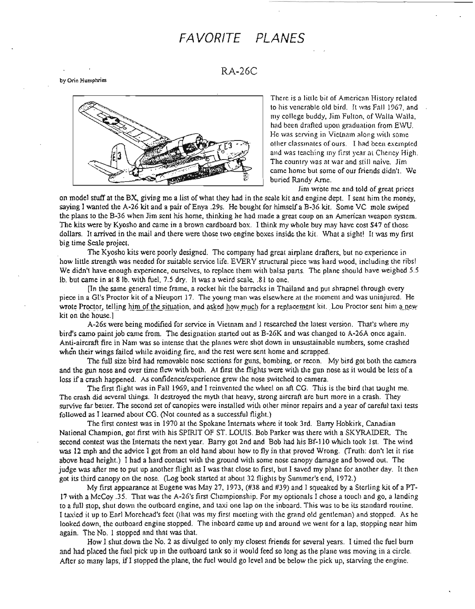## **FAVORITE PLANES**

RA-26C

by Orin Humphries



There is a little bit of American History related to his venerable old bird. It was Fall 1967, and my college buddy, Jim Fulton, of Walla Walla, had been drafted upon graduation from EWU. He was serving in Vietnam along with some other classinates of ours. I had been exempted and was teaching my first year at Cheney High. The country was at war and still naive. Jim came home but some of our friends didn't. We buried Randy Arne.

Jim wrote me and told of great prices

on model stuff at the BX, giving me a list of what they had in the scale kit and engine dept. I sent him the money, saying I wanted the A-26 kit and a pair of Enya .29s. He bought for himself a B-36 kit. Some VC mole swiped the plans to the B-36 when Jim sent his home, thinking he had made a great coup on an American weapon system. The kits were by Kyosho and came in a brown cardboard box. I think my whole buy may have cost \$47 of those dollars. It arrived in the mail and there were those two engine boxes inside the kit. What a sight! It was my first big time Scale project.

The Kyosho kits were poorly designed. The company had great airplane drafters, but no experience in how little strength was needed for suitable service life. EVERY structural piece was hard wood, including the ribs! We didn't have enough experience, ourselves, to replace them with balsa parts. The plane should have weighed 5.5 lb. but came in at 81b. with fuel, 7.5 dry. It was a weird scale, .81 to one.

[In the same general time frame, a rocket hit the barracks in Thailand and put shrapnel through every piece in a GI's Proctor kit of a Nieuport 17. The young man was elsewhere at the moment and was uninjured. He wrote Proctor, telling him of the situation, and asked how much for a replacement kit. Lou Proctor sent him a new kit on the house.]

A-26s were being modified for service in Vietnam and I researched the latest version. That's where my bird's camo paint job came from. The designation started out as B-26K and was changed to A-26A once again. Anti-aircraft fire in Nam was so intense that the planes were shot down in unsustainable numbers, some crashed when their wings failed while avoiding fire, and the rest were sent home and scrapped.

The full size bird had removable nose sections for guns, bombing, or recon. My bird got both the camera and the gun nose and over time flew with both. At first the flights were with the gun nose as it would be less of a loss if <sup>a</sup> crash happened. As confidence/experience grew the nose switched to camera.

The first flight was in Fall 1969, and I reinvented the wheel on aft CG. This is the bird that taught me. The crash did several things. It destroyed the myth that heavy, strong aircraft ate hurt more in a crash. They survive far better. The second set of canopies were installed with other minor repairs and a year of careful taxi tests followed as I learned about CG. (Not counted as a successful flight.)

The first contest was in 1970 at the Spokane Internats where it took 3rd. Barry Hobkirk, Canadian National Champion, got first with his SPIRIT OF ST. LOUIS. Bob Parker was there with a SKYRAlDER. The second contest was the Internats the next year. Barry got 2nd and Bob had his Bf-II0 which took 1st. The wind was 12 mph and the advice I got from an old hand about how to fly in that proved Wrong. (Truth: don't let it rise above head height.) I had a hard contact willi the ground with some nose canopy damage and bowed out. The judge was after me to put up another flight as I was that close to first, but I saved my plane for another day. It then got its third canopy on the nose. (Log book started at about 32 flights by Summer's end, 1972.)

My first appearance at Eugene was May 27, 1973, (#38 and #39) and I squeaked by a Sterling kit ofa PT-17 with a McCoy .35. That was the A-26's first Championship. For my optionals I chose a touch and go, a landing to a full stop, shut down the outboard engine, and taxi one lap on the inboard. This was to be its standard routine. I taxied it up to Earl Morehead's feet (that was my first meeting with the grand old gentleman) and stopped. As he looked down, the outboard engine stopped. The inboard came up and around we went for a lap, stopping near him again. The No. 1 stopped and that was that.

How I shut down the No. 2 as divulged to only my closest friends for several years. I timed the fuel burn and had placed the fuel pick up in the outboard tank so it would feed so long as the plane was moving in a circle. After so many laps, if I stopped the plane, the fuel would go level and be below the pick up, starving the engine.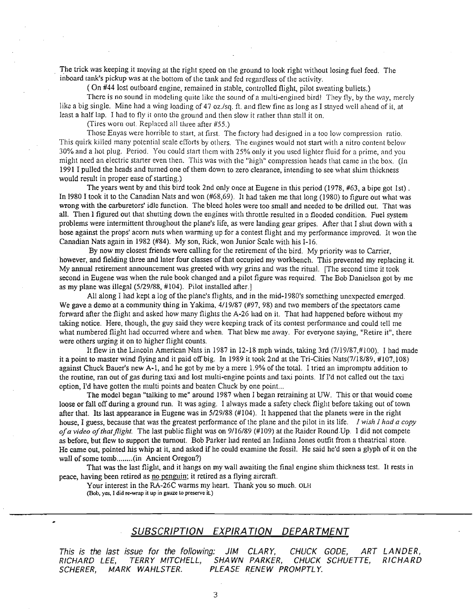The trick was keeping it moving at the right speed on the ground to look right without losing fuel feed. The inboard tank's pickup was at the bottom of the tank and fed regardless of the activity.

( On #44 lost outboard engine, remained in stable, controlled flight, pilot sweating bullets.)

There is no sound in modeling quite like the sound of a multi-engined bird! They fly, by the way, merely like a big single. Mine had a wing loading of 47 oz./sq. ft. and flew fine as long as I stayed well ahead of it, at least a half lap. I had to fly it onto the ground and then slow it rather than stall it on.

(Tires worn out. Replaced all three after #55.)

Those Enyas were horrible to start, at first. The factory had designed in a too low compression ratio. This quirk killed many potential scale efforts by others. The engines would not start with a nitro content below 30% and a hot plug. Period. You could start them with 25% only it you used lighter fluid for a prime, and you might need an electric starter even then. This was with the "high" compression heads that came in the box. (In 1991 I pulled the heads and turned one of them down to zero clearance, intending to see what shim thickness would result in proper ease of starting.)

The years went by and this bird took 2nd only once at Eugene in this period (1978, #63, a bipe got 1st) . In 1980 I took it to the Canadian Nats and won (#68,69). It had taken me that long (1980) to figure out what was wrong with the carburetors' idle function. The bleed holes were too small and needed to be drilled out. That was all. Then I figured out that shutting down the engines with throttle resulted in a flooded condition. Fuel system problems were intermittent throughout the plane's life, as were landing gear gripes. After that I shut down with a hose against the props' acorn nuts when warming up for a contest flight and my performance improved. It won the Canadian Nats again in 1982 (#84). My son, Rick, won Junior Scale with his 1-16.

By now my closest friends were calling for the retirement of the bird. My priority was to Carrier, however, and fielding three and later four classes of that occupied my workbench. This prevented my replacing it. My annual retirement announcement was greeted with wry grins and was the ritual. [The second time it took second in Eugene was when the rule book changed and a pilot figure was required. The Bob Danielson got by me as my plane was illegal (5/29/88, #104). Pilot installed after.]

All along I had kept a log of the plane's flights, and in the mid-1980's something unexpected emerged. We gave a demo at a community thing in Yakima,  $4/19/87$  (#97, 98) and two members of the spectators came forward after the flight and asked how many flights the A-26 had on it. That had happened before without my taking notice. Here, though, the guy said they were keeping track of its contest performance and could tell me what numbered flight had occurred where and when. That blew me away. For everyone saying, "Retire it", there were others urging it on to higher flight counts.

It flew in the Lincoln American Nats in 1987 in 12-18 mph winds, taking 3rd (7/19/87,#100). I had made it a point to master wind flying and it paid offbig. In 1989 it took 2nd at the Tri-Cities Nats(7/18/89, #107,108) against Chuck Bauer's new A-I, and he got by me by a mere 1.9% of the total. I tried an impromptu addition to the routine, ran out of gas during taxi and lost multi-engine points and taxi points. If I'd not called out the taxi option. I'd have gotten the multi points and beaten Chuck by one point...

The model began "talking to me" around 1987 when I began retraining at UW. This or that would come loose or fall off during a ground run. It was aging. I always made a safety check flight before taking out of town after that. Its last appearance in Eugene was in 5/29/88 (#104). It happened that the planets were in the right house, I guess, because that was the greatest performance of the plane and the pilot in its life. *1 wish 1 had a copy ofa video ofthatflight.* The last public flight was on 9/16/89 (#109) at the Raider RoundUp. I did not compete as before, but flew to support the turnout. Bob Parker had rented an Indiana Jones outfit from a theatrical store. He came out, pointed his whip at it, and asked if he could examine the fossil. He said he'd seen a glyph of it on the wall of some tomb........(in Ancient Oregon?)

That was the last flight, and it hangs on my wall awaiting the final engine shim thickness test. It rests in peace, having been retired as no penguin; it retired as a flying aircraft.

Your interest in the RA-26C warms my heart. Thank you so much. OLH (Bob, yes, I did re-wrap it up in gauze to preserve it)

#### **SUBSCRIPTION EXPIRATION DEPARTMENT**

This is the last issue for the following: JIM CLARY, CHUCK GODE, ART LANDER, RICHARD LEE, TERRY MITCHELL, SHAWN PARKER, CHUCK SCHUETTE, RICHARD SCHERER, MARK WAHLSTER. PLEASE RENEW PROMPTLY.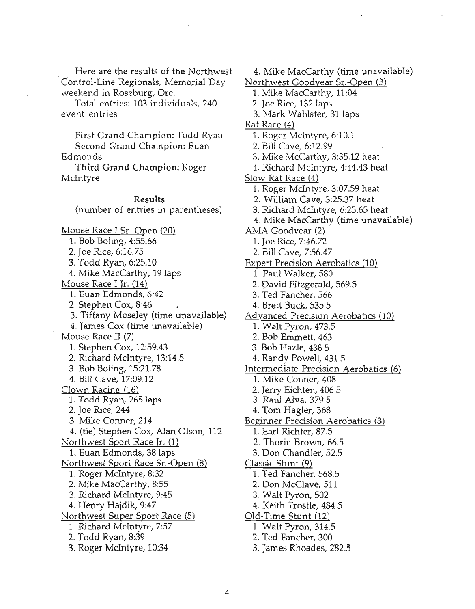Here are the results of the Northwest Control-Line Regionals, Memorial Day weekend in Roseburg, Ore.

Total entries: 103 individuals, 240 event entries

 $F$ irst Grand Champion: Todd Ryan Second Grand Champion: Euan

Edmonds

Third Grand Champion: Roger McIntyre

#### Results

(number of entries in parentheses) Mouse Race I Sr.-Open (20) 1. Bob Boling, 4:55.66 2. Joe Rice, 6:16.75 3. Todd Ryan, 6:25.10 4. Mike MacCarthy, 19 laps Mouse Race I Jr. (14) 1. Euan Edmonds, 6:42 2. Stephen Cox, 8:46 3. Tiffany Moseley (time unavailable) 4. James Cox (time unavailable) Mouse Race II (7) 1. Stephen Cox, 12:59.43 2. Richard McIntyre, 13:14.5 3. Bob Boling, 15:21.78 4. Bill Cave, 17:09.12 Clown Racing (16) 1. Todd Ryan, 265 laps 2. Joe Rice, 244 3. Mike Conner, 214 4. (tie) Stephen Cox, Alan Olson, 112 Northwest Sport Race Ir. (1) 1. Euan Edmonds, 38 laps Northwest Sport Race Sr.-Open (8) 1. Roger Mcintyre, 8:32 2. Mike MacCarthy, 8:55 3. Richard McIntyre, 9:45 4. Henry Hajdik, 9:47 Northwest Super Sport Race (5) 1. Richard McIntyre, 7:57 2. Todd Ryan, 8:39 3. Roger McIntyre, 10:34

4. Mike MacCarthy (time unavailable)

- Northwest Goodyear Sr.-Open (3) 1. Mike MacCarthy, 11:04
	- 2. Joe Rice, 132 laps
	- 3. Mark Wahlster, 31 laps
- Rat Race (4)
- 1. Roger McIntyre, 6:10.1
- 2. Bill Cave, 6:12.99
- 3. Mike McCarthy, 3:35.12 heat
- 4. Richard McIntyre, 4:44.43 heat
- Slow Rat Race (4)
	- 1. Roger McIntyre, 3:07.59 heat
	- 2. William Cave, 3:25.37 heat
	- 3. Richard McIntyre, 6:25.65 heat
	- 4. Mike MacCarthy (time unavailable)
- <u>AMA Goodyear (2)</u>
	- 1. Joe Rice, 7:46.72
	- 2. Bill Cave, 7:56.47
- Expert Precision Aerobatics (10)
	- 1. Paul Walker, 580
	- 2. David Fitzgerald, 569.5
	- 3. Ted Fancher, 566
	- 4. Brett Buck, 535.5
- Advanced Precision Aerobatics (10)
- 1. Walt Pyron, 473.5
	- 2. Bob Errunett, 463
	- 3. Bob Hazle, 438.5
	- 4. Randy Powell, 431.5
	- Intermediate Precision Aerobatics (6)
		- 1. Mike Conner, 408
		- 2. Jerry Eichten, 406.5
		- 3. Raul Alva, 379.5
		- 4. Tom Hagler, 368
	- Beginner Precision Aerobatics (3)
		- 1. Earl Richter, 87.5
		- 2. Thorin Brown, 66.5
		- 3. Don Chandler, 52.5
	- Classic Stunt (9)
		- 1. Ted Fancher, 568.5
		- 2. Don McClave, 511
		- 3. Walt Pyron, 502
		- 4. Keith Trostle; 484.5
	- Old-Time Stunt (12)
		- 1. Walt Pyron, 314.5
		- 2. Ted Fancher, 300
		- 3. James Rhoades, 282.5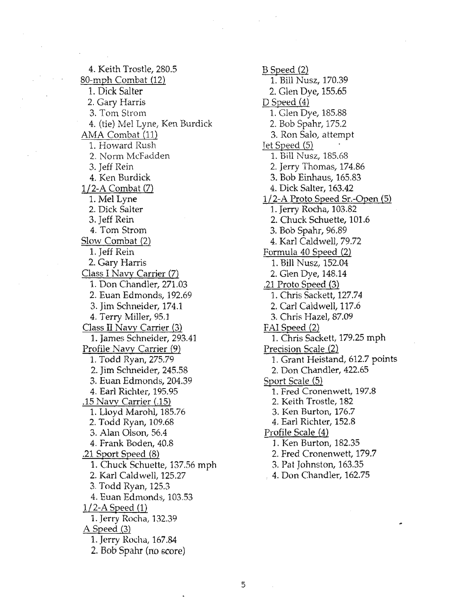4. Keith Trostle, 280.5 80-mph Combat (12) 1. Dick Salter 2. Gary Harris 3. Tom Strom 4. (tie) Mel Lyne, Ken Burdick AMA Combat (11) 1. Howard Rush 2. Norm McFadden 3. Jeff Rein 4. Ken Burdick *1/2-A* Combat (7) 1. Mel Lyne 2. Dick Salter 3. Jeff Rein 4. Tom Strom Slow Combat (2) 1. Jeff Rein 2. Gary Harris Class I Navy Carrier (7) 1. Don Chandler, 271.03 2. Euan Edmonds, 192.69 3. Jim Schneider, 174.1 4. Terry Miller, 95.1 Class II Navy Carrier (3) 1. James Schneider, 293.41 Profile Navy Carrier (9) 1. Todd Ryan, 275.79 2. Jim Schneider, 245.58 3. Euan Edmonds, 204.39 4. Earl Richter, 195.95 .15 Navy Carrier (.15) 1. Lloyd Marohl, 185.76 2. Todd Ryan, 109.68 3. Alan Olson, 56.4 4. Frank Boden, 40.8 .21 Sport Speed (8) 1. Chuck Schuette, 137.56 mph 2. Karl Caldwell, 125.27 3. Todd Ryan, 125.3 4. Euan Edmonds, 103.53 *1/2-A* Speed (1) 1. Jerry Rocha, 132.39 A Speed (3) 1. Jerry Rocha, 167.84

2.. Bob Spahr (no score)

B Speed (2) 1. Bill Nusz, 170.39 2. Glen Dye, 155.65 D Speed (4) 1. Glen Dye, 185.88 2. Bob Spahr, 175.2 3. Ron Salo, attempt Tet Speed (5) 1. Bill Nusz, 185.68 2. Jerry Thomas, 174.86 3. Bob Einhaus, 165.83 4. Dick Salter, 163.42 *1/2-A* Proto Speed Sr.-Open (5) 1. Jerry Rocha, 103.82 2. Chuck Schuette, 101.6 3. Bob Spahr, 96.89 4. Karl Caldwell, 79.72 Formula 40 Speed (2) 1. Bill Nusz, 152.04 2. Glen Dye, 148.14 .21 Proto Speed (3) 1. Chris Sackett, 127.74 2. Carl Caldwell, 117.6 3. Chris Hazel, 87.09 FAI Speed (2) 1. Chris Sackett, 179.25 mph Precision Scale (2) 1. Grant Heistand, 612.7 points 2. Don Chandler, 422.65 Sport Scale (5) 1. Fred Cronenwett, 197.8 2. Keith Trostle, 182 3. Ken Burton, 176.7 4. Earl Richter, 152.8 Profile Scale (4) 1. Ken Burton, 182.35 2. Fred Cronenwett, 179.7 3. Pat Johnston, 163.35 . 4. Don Chandler, 162.75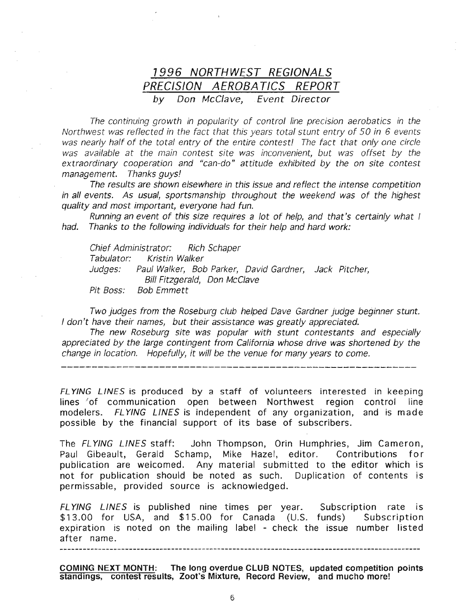### 7996 NORTHWEST REGIONALS PRECISION AEROBATICS REPORT by Don McClave, Event Director

The continuing growth in popularity of control line precision aerobatics in the Northwest was reflected in the fact that this years total stunt entry of 50 in 6 events was nearly half of the total entry of the entire contest! The fact that only one circle was available at the main contest site was inconvenient, but was offset by the extraordinary cooperation and "can-do" attitude exhibited by the on site contest management. Thanks guys!

The results are shown elsewhere in this issue and reflect the intense competition in all events. As usual, sportsmanship throughout the weekend was of the highest quality and most important, everyone had fun.

Running an event of this size requires a lot of help, and that's certainly what I had. Thanks to the following individuals for their help and hard work:

Chief Administrator: Rich Schaper Tabulator: Kristin Walker Judges: Paul Walker, Bob Parker, David Gardner, Jack Pitcher, Bill Fitzgerald, Don McClave Pit Boss: Bob Emmett

Two judges from the Roseburg club helped Dave Gardner judge beginner stunt. I don't have their names, but their assistance was greatly appreciated.

The new Roseburg site was popular with stunt contestants and especially appreciated by the large contingent from California whose drive was shortened by the change in location. Hopefully, it will be the venue for many years to come.

FL YING LINES is produced by a staff of volunteers interested in keeping lines of communication open between Northwest region control line modelers. FLYING LINES is independent of any organization, and is made possible by the financial support of its base of subscribers.

The FL YING LINES staff: John Thompson, Orin Humphries, Jim Cameron, Paul Gibeault, Gerald Schamp, Mike Hazel, editor. Contributions for publication are welcomed. Any material submitted to the editor which is not for publication should be noted as such. Duplication of contents is permissable, provided source is acknowledged.

FL YING LINES is published nine times per year. Subscription rate is \$13.00 for USA, and \$15.00 for Canada (U.S. funds) Subscription expiration is noted on the mailing label - check the issue number listed after name.

COMING NEXT MONTH: The long overdue CLUB NOTES, updated competition points standings, contest results, Zoot's Mixture, Record Review, and mucho more!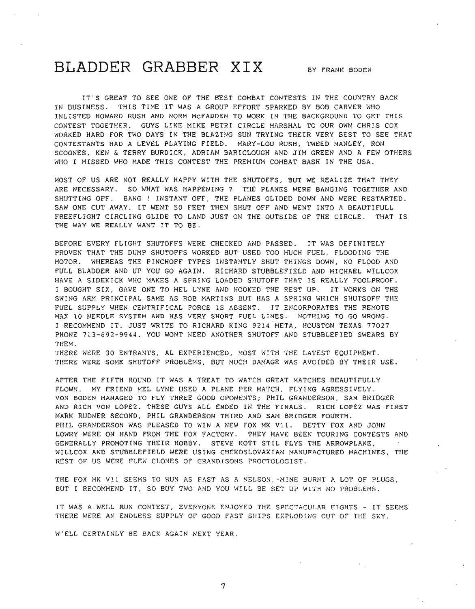# **BLADDER GRABBER XIX** BY FRANK BODEN

IT'S GREAT TO SEE ONE OF THE BEST COMBAT CONTESTS IN THE COUNTRY BACK IN BUSINESS. THIS TIME IT WAS A GROUP EFFORT SPARKED BY BOB CARVER WHO INLISTED HOWARD RUSH AND NORM McFADDEN TO WORK IN THE BACKGROUND TO GET THIS CONTEST TOGETHER. GUYS LIKE MIKE PETRI CIRCLE MARSHAL TO OUR OWN CHRIS COX WORKED HARD FOR TWO DAYS IN THE BLAZING SUN TRYING THEIR VERY BEST TO SEE THAT CONTESTANTS HAD A LEVEL PLAYING FIELD. MARY-LOU RUSH, TWEED MANLEY, RON SCOONES, KEN & TERRY BURDICK, ADRIAN BARICLOUGH AND JIM GREEN AND A FEW OTHERS WHO I MISSED WHO MADE THIS CONTEST THE PREMIUM COMBAT BASH IN THE USA.

MOST OF US ARE NOT REALLY HAPPY WITH THE SHUTOFFS, BUT WE REALIZE THAT THEY ARE NECESSARY. SO WHAT WAS HAPPENING? THE PLANES WERE BANGING TOGETHER AND SHUTTING OFF. BANG! INSTANT OFF, THE PLANES GLIDED DOWN AND WERE RESTARTED. SAW ONE CUT AWAY, IT WENT 50 FEET THEN SHUT OFF AND WENT INTO A BEAUTIFULL FREEFLIGHT CIRCLING GLIDE TO LAND JUST ON THE OUTSIDE OF THE CIRCLE. THAT IS THE WAY WE REALLY WANT IT TO BE.

BEFORE EVERY FLIGHT SHUTOFFS WERE CHECKED AND PASSED. IT WAS DEFINITELY PROVEN THAT THE DUMP SHUTOFFS WORKED BUT USED TOO MUCH FUEL, FLOODING THE MOTOR. WHEREAS THE PINCHOFF TYPES INSTANTLY SHUT THINGS DOWN, NO FLOOD AND FULL BLADDER AND UP YOU GO AGAIN. RICHARD STUBBLEFIELD AND MICHAEL WILLCOX HAVE A SIDEKICK WHO MAKES A SPRING LOADED SHUTOFF THAT IS REALLY FOOLPROOF. I BOUGHT SIX, GAVE ONE TO MEL LYNE AND HOOKED THE REST UP. IT WORKS ON THE SWING ARM PRINCIPAL SAME AS ROB MARTINS BUT HAS A SPRING WHICH SHUTSOFF THE FUEL SUPPLY WHEN CENTRIFICAL FORCE IS ABSENT. IT ENCORPORATES THE REMOTE MAX 10 NEEDLE SYSTEM AND HAS VERY SHORT FUEL LINES. NOTHING TO GO WRONG. I RECOMMEND IT. JUST WRITE TO RICHARD KING 9214 META, HOUSTON TEXAS 77027 PHONE 713-692-9944. YOU WONT NEED ANOTHER SHUTOFF AND STUBBLEFIED SWEARS BY THEM.

THERE WERE 30 ENTRANTS, AL EXPERIENCED, MOST WITH THE LATEST EQUIPMENT. THERE WERE SOME SHUTOFF PROBLEMS, BUT MUCH DAMAGE WAS AVOIDED BY THEIR USE.

AFTER THE FIFTH ROUND IT WAS A TREAT TO WATCH GREAT MATCHES BEAUTIFULLY FLOWN. MY FRIEND MEL LYNE USED A PLANE PER MATCH, FLYING AGRESSIVELY. VON BODEN MANAGED TO FLY THREE GOOD OPONENTS; PHIL GRANDERSON, SAM BRIDGER AND RICH VON LOPEZ. THESE GUYS ALL ENDED IN THE FINALS. RICH LOPEZ WAS FIRST MARK RUDNER SECOND, PHIL GRANDERSON THIRD AND SAM BRIDGER FOURTH. PHIL GRANDERSON WAS PLEASED TO WIN A NEW FOX MK V11. BETTY FOX AND JOHN LOWRY WERE ON HAND FROM THE FOX FACTORY. THEY HAVE BEEN TOURING CONTESTS AND GENERALLY PROMOTING THEIR HOBBY. STEVE KOTT STIL FLYS THE ARROWPLANE , WILLCOX AND STUBBLEFIELD WERE USING CHEKOSLOVAKIAN MANUFACTURED MACHINES, THE REST OF US WERE FLEW CLONES OF GRANDISONS PROCTOLOGIST.

THE FOX MK Vll SEEMS TO RUN AS FAST AS A NELSON, 'MINE BURNT A LOT OF PLUGS, BUT I RECOMMEND IT, SO BUY TWO AND YOU WILL BE SET UP WITH NO PROBLEMS.

IT WAS A WELL RUN CONTEST, EVERYONE ENJOYED THE SPECTACULAR FIGHTS - IT SEEMS THERE WERE AN ENDLESS SUPPLY OF GOOD FAST SHIPS EXPLODING OUT OF THE SKY.

W'ELL CERTAINLY BE BACK AGAIN NEXT YEAR.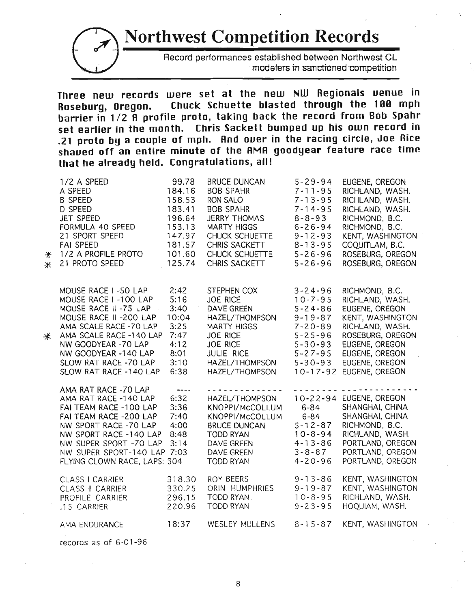# **Northwest Competition Records**



Record performances established between Northwest CL modelers in sanctioned competition

**Three new records were set at the new NlU Regionals uenue in Roseburg, Oregon. ChUCK Schuette blasted ttlrough the 100 mph barrier in 1/2 A profile proto, taking back the record from Bob Spahr set earlier in the month. Chris Sackett bumped up his own record in .21 proto by a couple of mph. And ouer in the racing circle, Joe Rice shaued off an entire minute of the AMA goodyear feature race time that he already held. Congratulations, all!**

| ₩<br>⋇ | 1/2 A SPEED<br>A SPEED<br><b>B SPEED</b><br>D SPEED<br>JET SPEED<br>FORMULA 40 SPEED<br>21 SPORT SPEED<br><b>FAI SPEED</b><br>1/2 A PROFILE PROTO<br>21 PROTO SPEED                                                                                   | 99.78<br>184.16<br>158.53<br>183.41<br>196.64<br>153.13<br>147.97<br>181.57<br>101.60<br>125.74 | <b>BRUCE DUNCAN</b><br><b>BOB SPAHR</b><br><b>RON SALO</b><br><b>BOB SPAHR</b><br><b>JERRY THOMAS</b><br><b>MARTY HIGGS</b><br>CHUCK SCHUETTE<br>CHRIS SACKETT<br>CHUCK SCHUETTE<br>CHRIS SACKETT | $5 - 29 - 94$<br>$7 - 11 - 95$<br>$7 - 13 - 95$<br>$7 - 14 - 95$<br>$8 - 8 - 93$<br>$6 - 26 - 94$<br>$9 - 12 - 93$<br>$8 - 13 - 95$<br>$5 - 26 - 96$<br>$5 - 26 - 96$   | EUGENE, OREGON<br>RICHLAND, WASH.<br>RICHLAND, WASH.<br>RICHLAND, WASH.<br>RICHMOND, B.C.<br>RICHMOND, B.C.<br>KENT, WASHINGTON<br>COQUITLAM, B.C.<br>ROSEBURG, OREGON<br>ROSEBURG, OREGON |
|--------|-------------------------------------------------------------------------------------------------------------------------------------------------------------------------------------------------------------------------------------------------------|-------------------------------------------------------------------------------------------------|---------------------------------------------------------------------------------------------------------------------------------------------------------------------------------------------------|-------------------------------------------------------------------------------------------------------------------------------------------------------------------------|--------------------------------------------------------------------------------------------------------------------------------------------------------------------------------------------|
| ⋇      | MOUSE RACE I-50 LAP<br>MOUSE RACE I-100 LAP<br>MOUSE RACE II -75 LAP<br>MOUSE RACE II -200 LAP<br>AMA SCALE RACE -70 LAP<br>AMA SCALE RACE -140 LAP<br>NW GOODYEAR -70 LAP<br>NW GOODYEAR -140 LAP<br>SLOW RAT RACE -70 LAP<br>SLOW RAT RACE -140 LAP | 2:42<br>5:16<br>3:40<br>10:04<br>3:25<br>7:47<br>4:12<br>8:01<br>3:10<br>6:38                   | STEPHEN COX<br><b>JOE RICE</b><br>DAVE GREEN<br>HAZEL/THOMPSON<br><b>MARTY HIGGS</b><br><b>JOE RICE</b><br><b>JOE RICE</b><br>JULIE RICE<br>HAZEL/THOMPSON<br>HAZEL/THOMPSON                      | $3 - 24 - 96$<br>$10 - 7 - 95$<br>$5 - 24 - 86$<br>$9 - 19 - 87$<br>$7 - 20 - 89$<br>$5 - 25 - 96$<br>$5 - 30 - 93$<br>$5 - 27 - 95$<br>$5 - 30 - 93$<br>$10 - 17 - 92$ | RICHMOND, B.C.<br>RICHLAND, WASH.<br>EUGENE, OREGON<br>KENT, WASHINGTON<br>RICHLAND, WASH.<br>ROSEBURG, OREGON<br>EUGENE, OREGON<br>EUGENE, OREGON<br>EUGENE, OREGON<br>EUGENE, OREGON     |
|        | AMA RAT RACE -70 LAP<br>AMA RAT RACE -140 LAP<br>FAI TEAM RACE -100 LAP<br>FAI TEAM RACE -200 LAP<br>NW SPORT RACE -70 LAP<br>NW SPORT RACE -140 LAP<br>NW SUPER SPORT -70 LAP<br>NW SUPER SPORT-140 LAP 7:03<br>FLYING CLOWN RACE, LAPS: 304         | $\frac{1}{2}$<br>6:32<br>3:36<br>7:40<br>4:00<br>8:48<br>3:14                                   | --------- <b>-</b><br>HAZEL/THOMPSON<br>KNOPPI/McCOLLUM<br>KNOPPI/McCOLLUM<br><b>BRUCE DUNCAN</b><br><b>TODD RYAN</b><br>DAVE GREEN<br>DAVE GREEN<br>TODD RYAN                                    | - - - - -<br>$6 - 84$<br>$6 - 84$<br>$5 - 12 - 87$<br>$10 - 8 - 94$<br>$4 - 13 - 86$<br>$3 - 8 - 87$<br>$4 - 20 - 96$                                                   | 10-22-94 EUGENE, OREGON<br>SHANGHAI, CHINA<br>SHANGHAI, CHINA<br>RICHMOND, B.C.<br>RICHLAND, WASH.<br>PORTLAND, OREGON<br>PORTLAND, OREGON<br>PORTLAND, OREGON                             |
|        | <b>CLASS   CARRIER</b><br><b>CLASS II CARRIER</b><br>PROFILE CARRIER<br>.15 CARRIER                                                                                                                                                                   | 318.30<br>330.25<br>296.15<br>220.96                                                            | ROY BEERS<br>ORIN HUMPHRIES<br>TODD RYAN.<br><b>TODD RYAN</b>                                                                                                                                     | $9 - 13 - 86$<br>$9 - 19 - 87$<br>$10 - 8 - 95$<br>$9 - 23 - 95$                                                                                                        | KENT, WASHINGTON<br>KENT, WASHINGTON<br>RICHLAND, WASH.<br>HOQUIAM, WASH.                                                                                                                  |
|        | AMA ENDURANCE                                                                                                                                                                                                                                         | 18:37                                                                                           | <b>WESLEY MULLENS</b>                                                                                                                                                                             | $8 - 15 - 87$                                                                                                                                                           | KENT, WASHINGTON                                                                                                                                                                           |

records as of 6-01 -96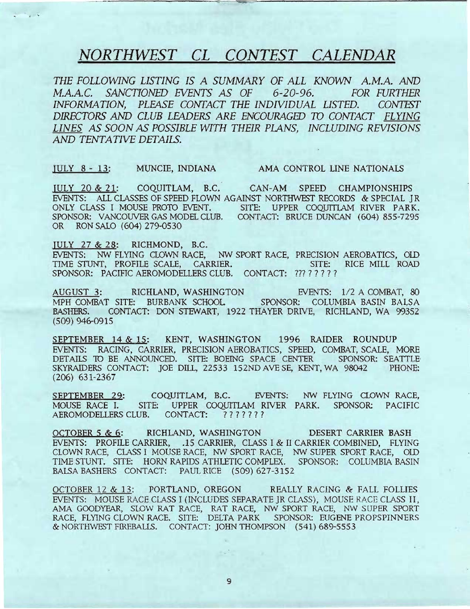# *NORTHWEST CL CONTEST CALENDAR*

 $THE$  *FOLLOWING LISTING IS A SUMMARY OF ALL KNOWN A.M.A. AND M.A.A.C. SANCTIONED EVENTS AS OF 6-20-96. FOR FURTHER INFORMATION, PLEASE CONTACT THE INDIVIDUAL LISTED. CONTEST DIRECTORS AND CLUB LEADERS ARE ENCOURAGED* 7D *CONTACT FLYING LINES AS SOON AS POSSIBLE WITH THEIR PLANS, INCLUDING REVISIONS AND TENTATIVE DETAILS.*

IULY 8 - 13: MUNCIE, INDIANA AMA CONTROL LINE NATIONALS

IULY 20 & 21: COQUITLAM, B.C. CAN-AM SPEED CHAMPIONSHIPS EVENTS: ALL CLASSES OF SPEED FLOWN AGAINST NORTHWEST RECORDS & SPECIAL JR ONLY CLASS I MOUSE PROTO EVENT. SITE: UPPER COQUITlAM RIVER PARK. SPONSOR: VANCOUVER GAS MODEL CLUB. CONTACT: BRUCE DUNCAN (604) 855-7295 OR RON SALO (604) 279-0530

IULY 27 & 28: RICHMOND, B.C. EVENTS: NW FLYING CLOWN RACE, NW SPORT RACE, PRECISION AEROBATICS, OLD TIME STUNT, PROFILE SCALE, CARRIER. SITE: RICE MILL ROAD TIME STUNT, PROFILE SCALE, CARRIER. SITE: RICE MILL ROAD SPONSOR: PACIFIC AEROMODELLERS CLUB. CONTACT: ????????

AUGUST 3: RICHLAND, WASHINGTON EVENTS: 1/2 A COMBAT, 80 MPH COMBAT SITE: BURBANK SCHOOL SPONSOR: COLUMBIA BASIN BALSA RA.SHERS. CONTACT: DON STEWART, 1922 THAYER DRIVE, RICHLAND, WA 99352 (509) 946-0915

SEPTEMBER 14 & 15: KENT, WASHINGTON 1996 RAIDER ROUNDUP EVENTS: RACING, CARRIER, PRECISION AEROBATICS, SPEED, COMBAT, SCALE, MORE DETAILS 10 BE ANNOUNCED. SITE: BOEING SPACE CENTER SPONSOR: SEATTLE SKYRAIDERS CONTACT: JOE DILL, 22533 152ND AVE SE, KENT, WA 98042 PHONE: (206) 631-2367

SEPTEMBER 29: COQUITLAM, B.C. EVENTS: NW FLYING CLOWN RACE, MOUSE RACE 1. SITE: UPPER COQUITLAM RIVER PARK. SPONSOR: PACIFIC AEROMODELLERS CLUB. CONTACT: ???????

OCTOBER 5 & 6: RICHLAND, WASHINGTON DESERT CARRIER BASH EVENTS: PROFILE CARRIER, .15 CARRIER, CLASS I & II CARRIER COMBINED, FLYING CLOWN RACE, CLASS I MOUSE RACE, NW SPORT RACE, NW SUPER SPORT RACE, OlD TIME STUNT. SITE: HORN RAPIDS ATHLETIC COMPLEX. SPONSOR: COLUMBIA BASIN BALSA BASHERS CONTACT: PAUL RICE (509) 627-3152

OCTOBER 12 & 13: PORTLAND, OREGON REALLY RACING & FALL FOLLIES EVENTS: MOUSE RACE CLASS I (INCLUDES SEPARATE JR CLASS), MOUSE RACE CLASS II, AMA GOODYEAR, SLOW RAT RACE, RAT RACE, NW SPORT RACE, NW SUPER SPORT RACE, FLYING CLOWN RACE. SITE: DELTA PARK SPONSOR: EUGENE PROPSPINNERS & NORTffiVEST FIREBALLS. CONTACT: JOHN THOMPSON (541) 689-5553

9